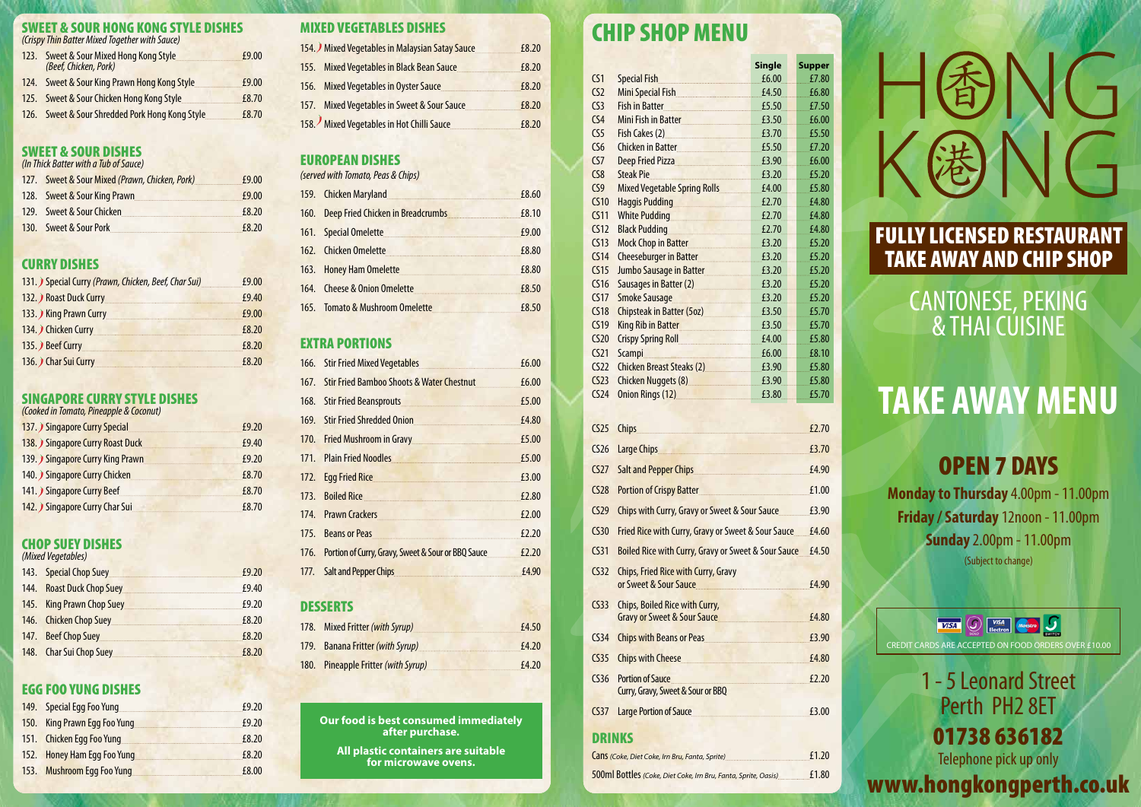### SWEET & SOUR HONG KONG STYLE DISHES

*(Crispy Thin Batter Mixed Together with Sauce)*

| 123.        | Sweet & Sour Mixed Hong Kong Style<br>(Beef, Chicken, Pork) | £9.00 |
|-------------|-------------------------------------------------------------|-------|
| <b>124.</b> | Sweet & Sour King Prawn Hong Kong Style                     | £9.00 |
|             | 125. Sweet & Sour Chicken Hong Kong Style                   | £8.70 |
| 126.        | Sweet & Sour Shredded Pork Hong Kong Style                  | £8.70 |

### SWEET & SOUR DISHES *(In Thick Batter with a Tub of Sauce)*

| 127. Sweet & Sour Mixed (Prawn, Chicken, Pork) | £9.00 |
|------------------------------------------------|-------|
| 128. Sweet & Sour King Prawn                   | £9.00 |
| 129. Sweet & Sour Chicken                      | £8.20 |
| 130. Sweet & Sour Pork                         | £8.20 |

# CURRY DISHES

| 131. Special Curry (Prawn, Chicken, Beef, Char Sui)                                                                                              | £9.00 |
|--------------------------------------------------------------------------------------------------------------------------------------------------|-------|
| 132. Roast Duck Curry                                                                                                                            | £9.40 |
| 133. King Prawn Curry<br><u> 1989 - Johann Stein, mars an deus Amerikaansk kommunister (</u>                                                     | £9.00 |
| 134. Chicken Curry                                                                                                                               | £8.20 |
| 135. Beef Curry<br><u> 1989 - Johann John Stone, mars et al. 1989 - John Stone, mars et al. 1989 - John Stone, mars et al. 1989 - John Stone</u> | £8.20 |
| 136. Char Sui Curry                                                                                                                              | £8.20 |

### SINGAPORE CURRY STYLE DISHES

*(Cooked in Tomato, Pineapple & Coconut)*

| 137. Singapore Curry Special    | £9.20 |
|---------------------------------|-------|
| 138. Singapore Curry Roast Duck | £9.40 |
| 139. Singapore Curry King Prawn | £9.20 |
| 140. Singapore Curry Chicken    | £8.70 |
| 141. Singapore Curry Beef       | £8.70 |
| 142. Singapore Curry Char Sui   | £8.70 |

# CHOP SUEY DISHES

*(Mixed Vegetables)*

| 143. Special Chop Suey <b>Supplier Section</b> 2014 3.                          | £9.20 |
|---------------------------------------------------------------------------------|-------|
| 144. Roast Duck Chop Suey                                                       | £9.40 |
| 145. King Prawn Chop Suey                                                       | £9.20 |
| 146. Chicken Chop Suey <b>Charles Charles Charles Charles Charles Chop Suey</b> | £8.20 |
|                                                                                 | £8.20 |
| 148. Char Sui Chop Suey <b>Charges</b> 2014                                     | f8.20 |

### EGG FOO YUNG DISHES

| 149. Special Egg Foo Yung    | £9.20 |
|------------------------------|-------|
| 150. King Prawn Egg Foo Yung | £9.20 |
| 151. Chicken Egg Foo Yung    | £8.20 |
| 152. Honey Ham Egg Foo Yung  | £8.20 |
| 153. Mushroom Egg Foo Yung   | £8.00 |

## MIXED VEGETABLES DISHES

| 154. Mixed Vegetables in Malaysian Satay Sauce | £8.20 |
|------------------------------------------------|-------|
| 155. Mixed Vegetables in Black Bean Sauce      | £8.20 |
| 156. Mixed Vegetables in Oyster Sauce          | £8.20 |
| 157. Mixed Vegetables in Sweet & Sour Sauce    | £8.20 |
| 158. Mixed Vegetables in Hot Chilli Sauce      | £8.20 |

# EUROPEAN DISHES

*(served with Tomato, Peas & Chips)*

| 159. Chicken Maryland                             | £8.60 |
|---------------------------------------------------|-------|
| 160. Deep Fried Chicken in Breadcrumbs 160. 18.10 |       |
| 161. Special Omelette                             | £9.00 |
| 162. Chicken Omelette                             | £8.80 |
| 163. Honey Ham Omelette                           | £8.80 |
| 164. Cheese & Onion Omelette                      | £8.50 |
| 165. Tomato & Mushroom Omelette                   | £8.50 |

# EXTRA PORTIONS

| 166. Stir Fried Mixed Vegetables                                                                                                                                                                                                     | £6.00 |
|--------------------------------------------------------------------------------------------------------------------------------------------------------------------------------------------------------------------------------------|-------|
| 167. Stir Fried Bamboo Shoots & Water Chestnut                                                                                                                                                                                       | £6.00 |
| 168. Stir Fried Beansprouts                                                                                                                                                                                                          | £5.00 |
| 169. Stir Fried Shredded Onion                                                                                                                                                                                                       | £4.80 |
| 170. Fried Mushroom in Gravy <b>Constanting Construction</b>                                                                                                                                                                         | £5.00 |
| 171. Plain Fried Noodles                                                                                                                                                                                                             | £5.00 |
| 172. Egg Fried Rice                                                                                                                                                                                                                  | £3.00 |
| 173. Boiled Rice                                                                                                                                                                                                                     | £2.80 |
| 174. Prawn Crackers <b>Marshall</b> Prawn Mars 2014.                                                                                                                                                                                 | £2.00 |
| 175. Beans or Peas <b>Section Contract Contract Contract Contract Contract Contract Contract Contract Contract Contract Contract Contract Contract Contract Contract Contract Contract Contract Contract Contract Contract Contr</b> | £2.20 |
| 176. Portion of Curry, Gravy, Sweet & Sour or BBQ Sauce <b>EXALGE</b>                                                                                                                                                                |       |
| 177. Salt and Pepper Chips <b>Charles and Chips Charles Bank Constant Charles Bank</b>                                                                                                                                               | £4.90 |

### **DESSERTS**

CANTONESE, PEKING **& THAI CÚISINE** 

**VISA Q** VSA RACCIO CREDIT CARDS ARE ACCEPTED ON FOOD ORDERS OVER £10.00

| 178. Mixed Fritter (with Syrup)     | £4.50 |
|-------------------------------------|-------|
| 179. Banana Fritter (with Syrup)    | £4.20 |
| 180. Pineapple Fritter (with Syrup) | £4.20 |

# CHIP SHOP MENU

|                  |                                                                                                                                                                                                                                      | <b>Single</b> | <b>Supper</b> |
|------------------|--------------------------------------------------------------------------------------------------------------------------------------------------------------------------------------------------------------------------------------|---------------|---------------|
| CS <sub>1</sub>  | <b>Special Fish</b>                                                                                                                                                                                                                  | £6.00         | £7.80         |
| CS <sub>2</sub>  | Mini Special Fish                                                                                                                                                                                                                    | £4.50         | £6.80         |
| CS <sub>3</sub>  | Fish in Batter <b>Manual</b>                                                                                                                                                                                                         | £5.50         | £7.50         |
| CS <sub>4</sub>  | Mini Fish in Batter                                                                                                                                                                                                                  | £3.50         | £6.00         |
| CS <sub>5</sub>  | Fish Cakes (2) <b>Example 20</b> Fish Cakes (2)                                                                                                                                                                                      | £3.70         | £5.50         |
| CS6              | Chicken in Batter <b>Chicken</b> in Batter                                                                                                                                                                                           | £5.50         | £7.20         |
| CS7              | Deep Fried Pizza                                                                                                                                                                                                                     | £3.90         | £6.00         |
| CS8              | <b>Steak Pie</b>                                                                                                                                                                                                                     | £3.20         | £5.20         |
| CS9              | Mixed Vegetable Spring Rolls                                                                                                                                                                                                         | £4.00         | £5.80         |
| CS10             | Haggis Pudding <b>Management Communist Property</b>                                                                                                                                                                                  | £2.70         | £4.80         |
| CS <sub>11</sub> | White Pudding <b>Constitution</b> White Pudding                                                                                                                                                                                      | £2.70         | £4.80         |
| CS12             | Black Pudding <b>Manual Accord Public Point Accord Pulse</b> Public Public Public Public Public Public Public Public Pu                                                                                                              | £2.70         | £4.80         |
| CS13             | Mock Chop in Batter                                                                                                                                                                                                                  | £3.20         | £5.20         |
| CS <sub>14</sub> | Cheeseburger in Batter                                                                                                                                                                                                               | £3.20         | £5.20         |
| CS15             | Jumbo Sausage in Batter                                                                                                                                                                                                              | £3.20         | £5.20         |
| C <sub>516</sub> | Sausages in Batter (2) [11] Sausages in Batter (2)                                                                                                                                                                                   | £3.20         | £5.20         |
| CS17             | Smoke Sausage                                                                                                                                                                                                                        | £3.20         | £5.20         |
| CS18             | Chipsteak in Batter (50z)                                                                                                                                                                                                            | £3.50         | £5.70         |
| CS19             | King Rib in Batter <b>King Ribman</b>                                                                                                                                                                                                | £3.50         | £5.70         |
| CS <sub>20</sub> | Crispy Spring Roll <b>Critical Critical Crispy</b>                                                                                                                                                                                   | £4.00         | £5.80         |
| CS <sub>21</sub> | Scampi Manuel Manuel Manuel Manuel Manuel Manuel Manuel Manuel Manuel Manuel Manuel Manuel Manuel Manuel Manuel                                                                                                                      | £6.00         | £8.10         |
| CS <sub>22</sub> | Chicken Breast Steaks (2)                                                                                                                                                                                                            | £3.90         | £5.80         |
| CS <sub>23</sub> | Chicken Nuggets (8) <b>Chicken</b> Nuggets (8)                                                                                                                                                                                       | £3.90         | £5.80         |
| CS <sub>24</sub> | Onion Rings (12) <b>Container the Contract Control Control Control Control Control Control Control Control Control Control Control Control Control Control Control Control Control Control Control Control Control Control Contr</b> | £3.80         | £5.70         |
|                  |                                                                                                                                                                                                                                      |               |               |
| CS <sub>25</sub> | Chips                                                                                                                                                                                                                                |               | £2.70         |
| CS <sub>26</sub> | Large Chips                                                                                                                                                                                                                          |               | £3.70         |
| CS <sub>27</sub> | Salt and Pepper Chips <b>Salt and Pepper Chips</b>                                                                                                                                                                                   |               | £4.90         |
| CS <sub>28</sub> | Portion of Crispy Batter <b>Market Street Act of Crispy Batter</b>                                                                                                                                                                   |               | £1.00         |
| CS <sub>29</sub> | Chips with Curry, Gravy or Sweet & Sour Sauce £3.90                                                                                                                                                                                  |               |               |
| CS30             | Fried Rice with Curry, Gravy or Sweet & Sour Sauce £4.60                                                                                                                                                                             |               |               |
| CS <sub>31</sub> | Boiled Rice with Curry, Gravy or Sweet & Sour Sauce £4.50                                                                                                                                                                            |               |               |
| CS <sub>2</sub>  | <b>Chips, Fried Rice with Curry, Gravy</b><br>or Sweet & Sour Sauce                                                                                                                                                                  |               | £4.90         |
|                  |                                                                                                                                                                                                                                      |               |               |
| CS33             | Chips, Boiled Rice with Curry,<br>Gravy or Sweet & Sour Sauce 50 F4.80                                                                                                                                                               |               |               |
| CS <sub>34</sub> | Chips with Beans or Peas <b>EXALLE 18</b> E3.90                                                                                                                                                                                      |               |               |
| CS <sub>35</sub> | Chips with Cheese <u>E4.80</u>                                                                                                                                                                                                       |               |               |
| CS36             | Portion of Sauce <u>E2.20</u>                                                                                                                                                                                                        |               |               |
|                  | Curry, Gravy, Sweet & Sour or BBQ                                                                                                                                                                                                    |               |               |
| CS37             | Large Portion of Sauce                                                                                                                                                                                                               |               | £3.00         |

# **DRINKS**

| Cans (Coke, Diet Coke, Irn Bru, Fanta, Sprite)                 | £1.20 |
|----------------------------------------------------------------|-------|
| 500ml Bottles (Coke, Diet Coke, Irn Bru, Fanta, Sprite, Oasis) | £1.80 |

# 旬

**Our food is best consumed immediately after purchase.**

**All plastic containers are suitable for microwave ovens.**

1 - 5 Leonard Street Perth PH2 8ET 01738 636182 Telephone pick up only

www.hongkongperth.co.uk

# OPEN 7 DAYS

**Monday to Thursday** 4.00pm - 11.00pm **Friday / Saturday** 12noon - 11.00pm **Sunday** 2.00pm - 11.00pm

(Subject to change)

# **TAKE AWAY MENU**

# FULLY LICENSED RESTAURANT TAKE AWAY AND CHIP SHOP